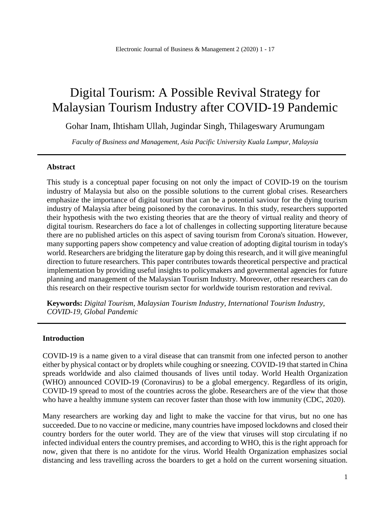# Digital Tourism: A Possible Revival Strategy for Malaysian Tourism Industry after COVID-19 Pandemic

Gohar Inam, Ihtisham Ullah, Jugindar Singh, Thilageswary Arumungam

*Faculty of Business and Management, Asia Pacific University Kuala Lumpur, Malaysia*

#### **Abstract**

This study is a conceptual paper focusing on not only the impact of COVID-19 on the tourism industry of Malaysia but also on the possible solutions to the current global crises. Researchers emphasize the importance of digital tourism that can be a potential saviour for the dying tourism industry of Malaysia after being poisoned by the coronavirus. In this study, researchers supported their hypothesis with the two existing theories that are the theory of virtual reality and theory of digital tourism. Researchers do face a lot of challenges in collecting supporting literature because there are no published articles on this aspect of saving tourism from Corona's situation. However, many supporting papers show competency and value creation of adopting digital tourism in today's world. Researchers are bridging the literature gap by doing this research, and it will give meaningful direction to future researchers. This paper contributes towards theoretical perspective and practical implementation by providing useful insights to policymakers and governmental agencies for future planning and management of the Malaysian Tourism Industry. Moreover, other researchers can do this research on their respective tourism sector for worldwide tourism restoration and revival.

**Keywords:** *Digital Tourism, Malaysian Tourism Industry, International Tourism Industry, COVID-19, Global Pandemic*

#### **Introduction**

COVID-19 is a name given to a viral disease that can transmit from one infected person to another either by physical contact or by droplets while coughing or sneezing. COVID-19 that started in China spreads worldwide and also claimed thousands of lives until today. World Health Organization (WHO) announced COVID-19 (Coronavirus) to be a global emergency. Regardless of its origin, COVID-19 spread to most of the countries across the globe. Researchers are of the view that those who have a healthy immune system can recover faster than those with low immunity (CDC, 2020).

Many researchers are working day and light to make the vaccine for that virus, but no one has succeeded. Due to no vaccine or medicine, many countries have imposed lockdowns and closed their country borders for the outer world. They are of the view that viruses will stop circulating if no infected individual enters the country premises, and according to WHO, this is the right approach for now, given that there is no antidote for the virus. World Health Organization emphasizes social distancing and less travelling across the boarders to get a hold on the current worsening situation.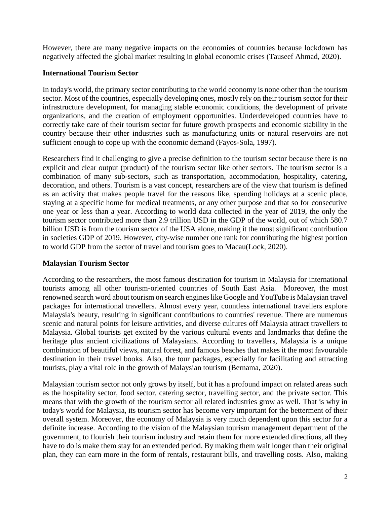However, there are many negative impacts on the economies of countries because lockdown has negatively affected the global market resulting in global economic crises (Tauseef Ahmad, 2020).

## **International Tourism Sector**

In today's world, the primary sector contributing to the world economy is none other than the tourism sector. Most of the countries, especially developing ones, mostly rely on their tourism sector for their infrastructure development, for managing stable economic conditions, the development of private organizations, and the creation of employment opportunities. Underdeveloped countries have to correctly take care of their tourism sector for future growth prospects and economic stability in the country because their other industries such as manufacturing units or natural reservoirs are not sufficient enough to cope up with the economic demand (Fayos-Sola, 1997).

Researchers find it challenging to give a precise definition to the tourism sector because there is no explicit and clear output (product) of the tourism sector like other sectors. The tourism sector is a combination of many sub-sectors, such as transportation, accommodation, hospitality, catering, decoration, and others. Tourism is a vast concept, researchers are of the view that tourism is defined as an activity that makes people travel for the reasons like, spending holidays at a scenic place, staying at a specific home for medical treatments, or any other purpose and that so for consecutive one year or less than a year. According to world data collected in the year of 2019, the only the tourism sector contributed more than 2.9 trillion USD in the GDP of the world, out of which 580.7 billion USD is from the tourism sector of the USA alone, making it the most significant contribution in societies GDP of 2019. However, city-wise number one rank for contributing the highest portion to world GDP from the sector of travel and tourism goes to Macau(Lock, 2020).

# **Malaysian Tourism Sector**

According to the researchers, the most famous destination for tourism in Malaysia for international tourists among all other tourism-oriented countries of South East Asia. Moreover, the most renowned search word about tourism on search engines like Google and YouTube is Malaysian travel packages for international travellers. Almost every year, countless international travellers explore Malaysia's beauty, resulting in significant contributions to countries' revenue. There are numerous scenic and natural points for leisure activities, and diverse cultures off Malaysia attract travellers to Malaysia. Global tourists get excited by the various cultural events and landmarks that define the heritage plus ancient civilizations of Malaysians. According to travellers, Malaysia is a unique combination of beautiful views, natural forest, and famous beaches that makes it the most favourable destination in their travel books. Also, the tour packages, especially for facilitating and attracting tourists, play a vital role in the growth of Malaysian tourism (Bernama, 2020).

Malaysian tourism sector not only grows by itself, but it has a profound impact on related areas such as the hospitality sector, food sector, catering sector, travelling sector, and the private sector. This means that with the growth of the tourism sector all related industries grow as well. That is why in today's world for Malaysia, its tourism sector has become very important for the betterment of their overall system. Moreover, the economy of Malaysia is very much dependent upon this sector for a definite increase. According to the vision of the Malaysian tourism management department of the government, to flourish their tourism industry and retain them for more extended directions, all they have to do is make them stay for an extended period. By making them wait longer than their original plan, they can earn more in the form of rentals, restaurant bills, and travelling costs. Also, making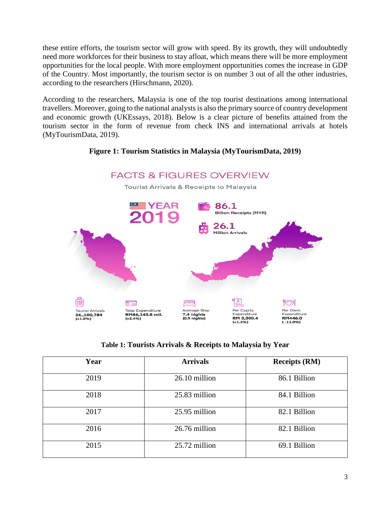these entire efforts, the tourism sector will grow with speed. By its growth, they will undoubtedly need more workforces for their business to stay afloat, which means there will be more employment opportunities for the local people. With more employment opportunities comes the increase in GDP of the Country. Most importantly, the tourism sector is on number 3 out of all the other industries, according to the researchers (Hirschmann, 2020).

According to the researchers, Malaysia is one of the top tourist destinations among international travellers. Moreover, going to the national analysts is also the primary source of country development and economic growth (UKEssays, 2018). Below is a clear picture of benefits attained from the tourism sector in the form of revenue from check INS and international arrivals at hotels (MyTourismData, 2019).

# **Figure 1: Tourism Statistics in Malaysia (MyTourismData, 2019)**



# **Table 1: Tourists Arrivals & Receipts to Malaysia by Year**

| Year | <b>Arrivals</b> | <b>Receipts (RM)</b> |
|------|-----------------|----------------------|
| 2019 | 26.10 million   | 86.1 Billion         |
| 2018 | 25.83 million   | 84.1 Billion         |
| 2017 | 25.95 million   | 82.1 Billion         |
| 2016 | 26.76 million   | 82.1 Billion         |
| 2015 | 25.72 million   | 69.1 Billion         |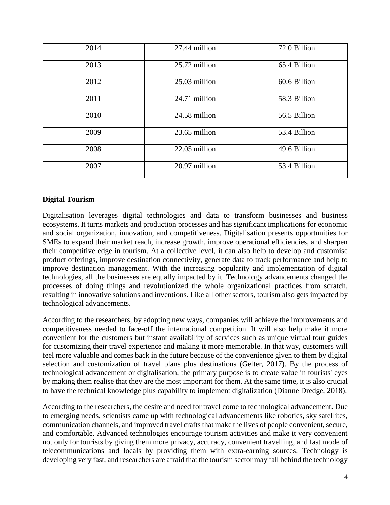| 2014 | 27.44 million | 72.0 Billion |
|------|---------------|--------------|
| 2013 | 25.72 million | 65.4 Billion |
| 2012 | 25.03 million | 60.6 Billion |
| 2011 | 24.71 million | 58.3 Billion |
| 2010 | 24.58 million | 56.5 Billion |
| 2009 | 23.65 million | 53.4 Billion |
| 2008 | 22.05 million | 49.6 Billion |
| 2007 | 20.97 million | 53.4 Billion |

# **Digital Tourism**

Digitalisation leverages digital technologies and data to transform businesses and business ecosystems. It turns markets and production processes and has significant implications for economic and social organization, innovation, and competitiveness. Digitalisation presents opportunities for SMEs to expand their market reach, increase growth, improve operational efficiencies, and sharpen their competitive edge in tourism. At a collective level, it can also help to develop and customise product offerings, improve destination connectivity, generate data to track performance and help to improve destination management. With the increasing popularity and implementation of digital technologies, all the businesses are equally impacted by it. Technology advancements changed the processes of doing things and revolutionized the whole organizational practices from scratch, resulting in innovative solutions and inventions. Like all other sectors, tourism also gets impacted by technological advancements.

According to the researchers, by adopting new ways, companies will achieve the improvements and competitiveness needed to face-off the international competition. It will also help make it more convenient for the customers but instant availability of services such as unique virtual tour guides for customizing their travel experience and making it more memorable. In that way, customers will feel more valuable and comes back in the future because of the convenience given to them by digital selection and customization of travel plans plus destinations (Gelter, 2017). By the process of technological advancement or digitalisation, the primary purpose is to create value in tourists' eyes by making them realise that they are the most important for them. At the same time, it is also crucial to have the technical knowledge plus capability to implement digitalization (Dianne Dredge, 2018).

According to the researchers, the desire and need for travel come to technological advancement. Due to emerging needs, scientists came up with technological advancements like robotics, sky satellites, communication channels, and improved travel crafts that make the lives of people convenient, secure, and comfortable. Advanced technologies encourage tourism activities and make it very convenient not only for tourists by giving them more privacy, accuracy, convenient travelling, and fast mode of telecommunications and locals by providing them with extra-earning sources. Technology is developing very fast, and researchers are afraid that the tourism sector may fall behind the technology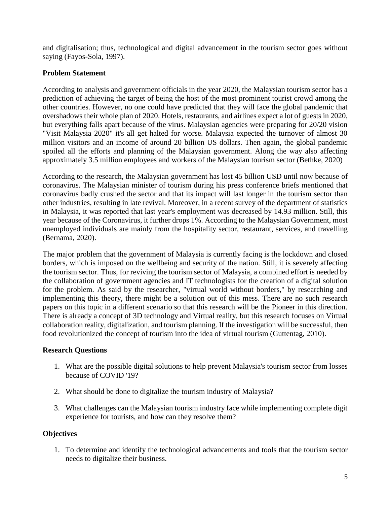and digitalisation; thus, technological and digital advancement in the tourism sector goes without saying (Fayos-Sola, 1997).

# **Problem Statement**

According to analysis and government officials in the year 2020, the Malaysian tourism sector has a prediction of achieving the target of being the host of the most prominent tourist crowd among the other countries. However, no one could have predicted that they will face the global pandemic that overshadows their whole plan of 2020. Hotels, restaurants, and airlines expect a lot of guests in 2020, but everything falls apart because of the virus. Malaysian agencies were preparing for 20/20 vision "Visit Malaysia 2020" it's all get halted for worse. Malaysia expected the turnover of almost 30 million visitors and an income of around 20 billion US dollars. Then again, the global pandemic spoiled all the efforts and planning of the Malaysian government. Along the way also affecting approximately 3.5 million employees and workers of the Malaysian tourism sector (Bethke, 2020)

According to the research, the Malaysian government has lost 45 billion USD until now because of coronavirus. The Malaysian minister of tourism during his press conference briefs mentioned that coronavirus badly crushed the sector and that its impact will last longer in the tourism sector than other industries, resulting in late revival. Moreover, in a recent survey of the department of statistics in Malaysia, it was reported that last year's employment was decreased by 14.93 million. Still, this year because of the Coronavirus, it further drops 1%. According to the Malaysian Government, most unemployed individuals are mainly from the hospitality sector, restaurant, services, and travelling (Bernama, 2020).

The major problem that the government of Malaysia is currently facing is the lockdown and closed borders, which is imposed on the wellbeing and security of the nation. Still, it is severely affecting the tourism sector. Thus, for reviving the tourism sector of Malaysia, a combined effort is needed by the collaboration of government agencies and IT technologists for the creation of a digital solution for the problem. As said by the researcher, "virtual world without borders," by researching and implementing this theory, there might be a solution out of this mess. There are no such research papers on this topic in a different scenario so that this research will be the Pioneer in this direction. There is already a concept of 3D technology and Virtual reality, but this research focuses on Virtual collaboration reality, digitalization, and tourism planning. If the investigation will be successful, then food revolutionized the concept of tourism into the idea of virtual tourism (Guttentag, 2010).

# **Research Questions**

- 1. What are the possible digital solutions to help prevent Malaysia's tourism sector from losses because of COVID '19?
- 2. What should be done to digitalize the tourism industry of Malaysia?
- 3. What challenges can the Malaysian tourism industry face while implementing complete digit experience for tourists, and how can they resolve them?

# **Objectives**

1. To determine and identify the technological advancements and tools that the tourism sector needs to digitalize their business.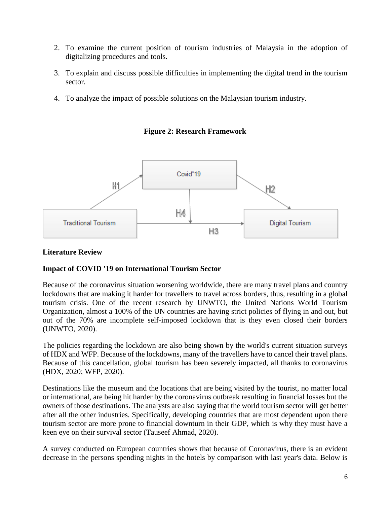- 2. To examine the current position of tourism industries of Malaysia in the adoption of digitalizing procedures and tools.
- 3. To explain and discuss possible difficulties in implementing the digital trend in the tourism sector.
- 4. To analyze the impact of possible solutions on the Malaysian tourism industry.





#### **Literature Review**

#### **Impact of COVID '19 on International Tourism Sector**

Because of the coronavirus situation worsening worldwide, there are many travel plans and country lockdowns that are making it harder for travellers to travel across borders, thus, resulting in a global tourism crisis. One of the recent research by UNWTO, the United Nations World Tourism Organization, almost a 100% of the UN countries are having strict policies of flying in and out, but out of the 70% are incomplete self-imposed lockdown that is they even closed their borders (UNWTO, 2020).

The policies regarding the lockdown are also being shown by the world's current situation surveys of HDX and WFP. Because of the lockdowns, many of the travellers have to cancel their travel plans. Because of this cancellation, global tourism has been severely impacted, all thanks to coronavirus (HDX, 2020; WFP, 2020).

Destinations like the museum and the locations that are being visited by the tourist, no matter local or international, are being hit harder by the coronavirus outbreak resulting in financial losses but the owners of those destinations. The analysts are also saying that the world tourism sector will get better after all the other industries. Specifically, developing countries that are most dependent upon there tourism sector are more prone to financial downturn in their GDP, which is why they must have a keen eye on their survival sector (Tauseef Ahmad, 2020).

A survey conducted on European countries shows that because of Coronavirus, there is an evident decrease in the persons spending nights in the hotels by comparison with last year's data. Below is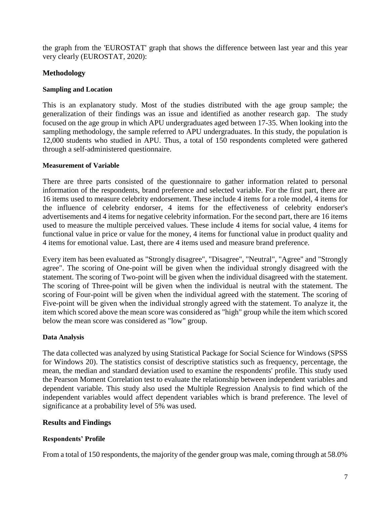the graph from the 'EUROSTAT' graph that shows the difference between last year and this year very clearly (EUROSTAT, 2020):

# **Methodology**

## **Sampling and Location**

This is an explanatory study. Most of the studies distributed with the age group sample; the generalization of their findings was an issue and identified as another research gap. The study focused on the age group in which APU undergraduates aged between 17-35. When looking into the sampling methodology, the sample referred to APU undergraduates. In this study, the population is 12,000 students who studied in APU. Thus, a total of 150 respondents completed were gathered through a self-administered questionnaire.

#### **Measurement of Variable**

There are three parts consisted of the questionnaire to gather information related to personal information of the respondents, brand preference and selected variable. For the first part, there are 16 items used to measure celebrity endorsement. These include 4 items for a role model, 4 items for the influence of celebrity endorser, 4 items for the effectiveness of celebrity endorser's advertisements and 4 items for negative celebrity information. For the second part, there are 16 items used to measure the multiple perceived values. These include 4 items for social value, 4 items for functional value in price or value for the money, 4 items for functional value in product quality and 4 items for emotional value. Last, there are 4 items used and measure brand preference.

Every item has been evaluated as "Strongly disagree", "Disagree", "Neutral", "Agree" and "Strongly agree". The scoring of One-point will be given when the individual strongly disagreed with the statement. The scoring of Two-point will be given when the individual disagreed with the statement. The scoring of Three-point will be given when the individual is neutral with the statement. The scoring of Four-point will be given when the individual agreed with the statement. The scoring of Five-point will be given when the individual strongly agreed with the statement. To analyze it, the item which scored above the mean score was considered as "high" group while the item which scored below the mean score was considered as "low" group.

# **Data Analysis**

The data collected was analyzed by using Statistical Package for Social Science for Windows (SPSS for Windows 20). The statistics consist of descriptive statistics such as frequency, percentage, the mean, the median and standard deviation used to examine the respondents' profile. This study used the Pearson Moment Correlation test to evaluate the relationship between independent variables and dependent variable. This study also used the Multiple Regression Analysis to find which of the independent variables would affect dependent variables which is brand preference. The level of significance at a probability level of 5% was used.

# **Results and Findings**

# **Respondents' Profile**

From a total of 150 respondents, the majority of the gender group was male, coming through at 58.0%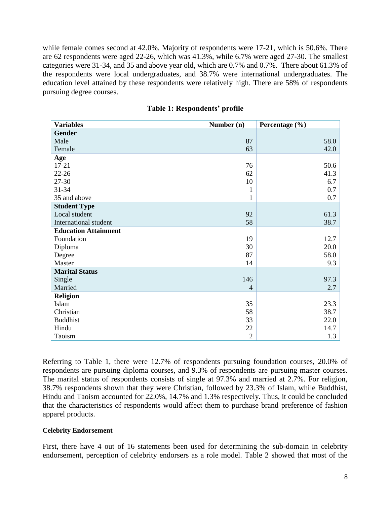while female comes second at 42.0%. Majority of respondents were 17-21, which is 50.6%. There are 62 respondents were aged 22-26, which was 41.3%, while 6.7% were aged 27-30. The smallest categories were 31-34, and 35 and above year old, which are 0.7% and 0.7%. There about 61.3% of the respondents were local undergraduates, and 38.7% were international undergraduates. The education level attained by these respondents were relatively high. There are 58% of respondents pursuing degree courses.

| <b>Variables</b>            | Number (n)     | Percentage (%) |
|-----------------------------|----------------|----------------|
| <b>Gender</b>               |                |                |
| Male                        | 87             | 58.0           |
| Female                      | 63             | 42.0           |
| Age                         |                |                |
| $17 - 21$                   | 76             | 50.6           |
| $22 - 26$                   | 62             | 41.3           |
| 27-30                       | 10             | 6.7            |
| 31-34                       | 1              | 0.7            |
| 35 and above                | 1              | 0.7            |
| <b>Student Type</b>         |                |                |
| Local student               | 92             | 61.3           |
| International student       | 58             | 38.7           |
| <b>Education Attainment</b> |                |                |
| Foundation                  | 19             | 12.7           |
| Diploma                     | 30             | 20.0           |
| Degree                      | 87             | 58.0           |
| Master                      | 14             | 9.3            |
| <b>Marital Status</b>       |                |                |
| Single                      | 146            | 97.3           |
| Married                     | $\overline{4}$ | 2.7            |
| <b>Religion</b>             |                |                |
| Islam                       | 35             | 23.3           |
| Christian                   | 58             | 38.7           |
| <b>Buddhist</b>             | 33             | 22.0           |
| Hindu                       | 22             | 14.7           |
| Taoism                      | $\overline{2}$ | 1.3            |

|  |  | <b>Table 1: Respondents' profile</b> |  |
|--|--|--------------------------------------|--|
|--|--|--------------------------------------|--|

Referring to Table 1, there were 12.7% of respondents pursuing foundation courses, 20.0% of respondents are pursuing diploma courses, and 9.3% of respondents are pursuing master courses. The marital status of respondents consists of single at 97.3% and married at 2.7%. For religion, 38.7% respondents shown that they were Christian, followed by 23.3% of Islam, while Buddhist, Hindu and Taoism accounted for 22.0%, 14.7% and 1.3% respectively. Thus, it could be concluded that the characteristics of respondents would affect them to purchase brand preference of fashion apparel products.

#### **Celebrity Endorsement**

First, there have 4 out of 16 statements been used for determining the sub-domain in celebrity endorsement, perception of celebrity endorsers as a role model. Table 2 showed that most of the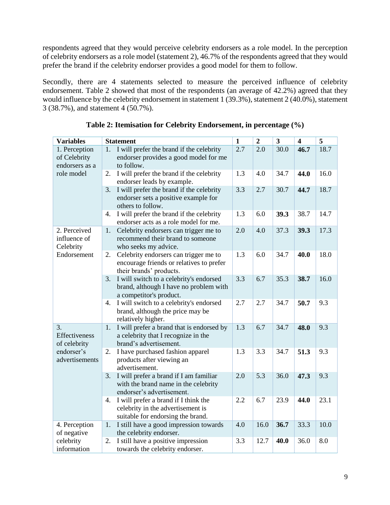respondents agreed that they would perceive celebrity endorsers as a role model. In the perception of celebrity endorsers as a role model (statement 2), 46.7% of the respondents agreed that they would prefer the brand if the celebrity endorser provides a good model for them to follow.

Secondly, there are 4 statements selected to measure the perceived influence of celebrity endorsement. Table 2 showed that most of the respondents (an average of 42.2%) agreed that they would influence by the celebrity endorsement in statement 1 (39.3%), statement 2 (40.0%), statement 3 (38.7%), and statement 4 (50.7%).

| Variables                                       | <b>Statement</b>                                                                                                     | $\overline{\mathbf{1}}$ | $\overline{2}$ | $\overline{\mathbf{3}}$ | $\overline{\mathbf{4}}$ | $\overline{5}$ |
|-------------------------------------------------|----------------------------------------------------------------------------------------------------------------------|-------------------------|----------------|-------------------------|-------------------------|----------------|
| 1. Perception<br>of Celebrity<br>endorsers as a | I will prefer the brand if the celebrity<br>1.<br>endorser provides a good model for me<br>to follow.                | 2.7                     | 2.0            | 30.0                    | 46.7                    | 18.7           |
| role model                                      | I will prefer the brand if the celebrity<br>2.<br>endorser leads by example.                                         | 1.3                     | 4.0            | 34.7                    | 44.0                    | 16.0           |
|                                                 | I will prefer the brand if the celebrity<br>3.<br>endorser sets a positive example for<br>others to follow.          | 3.3                     | 2.7            | 30.7                    | 44.7                    | 18.7           |
|                                                 | I will prefer the brand if the celebrity<br>4.<br>endorser acts as a role model for me.                              | 1.3                     | 6.0            | 39.3                    | 38.7                    | 14.7           |
| 2. Perceived<br>influence of<br>Celebrity       | Celebrity endorsers can trigger me to<br>1.<br>recommend their brand to someone<br>who seeks my advice.              | 2.0                     | 4.0            | 37.3                    | 39.3                    | 17.3           |
| Endorsement                                     | Celebrity endorsers can trigger me to<br>2.<br>encourage friends or relatives to prefer<br>their brands' products.   | 1.3                     | 6.0            | 34.7                    | 40.0                    | 18.0           |
|                                                 | I will switch to a celebrity's endorsed<br>3.<br>brand, although I have no problem with<br>a competitor's product.   | 3.3                     | 6.7            | 35.3                    | 38.7                    | 16.0           |
|                                                 | I will switch to a celebrity's endorsed<br>4.<br>brand, although the price may be<br>relatively higher.              | 2.7                     | 2.7            | 34.7                    | 50.7                    | 9.3            |
| 3.<br>Effectiveness<br>of celebrity             | I will prefer a brand that is endorsed by<br>1.<br>a celebrity that I recognize in the<br>brand's advertisement.     | 1.3                     | 6.7            | 34.7                    | 48.0                    | 9.3            |
| endorser's<br>advertisements                    | I have purchased fashion apparel<br>2.<br>products after viewing an<br>advertisement.                                | 1.3                     | 3.3            | 34.7                    | 51.3                    | 9.3            |
|                                                 | I will prefer a brand if I am familiar<br>3.<br>with the brand name in the celebrity<br>endorser's advertisement.    | 2.0                     | 5.3            | 36.0                    | 47.3                    | 9.3            |
|                                                 | I will prefer a brand if I think the<br>4.<br>celebrity in the advertisement is<br>suitable for endorsing the brand. | 2.2                     | 6.7            | 23.9                    | 44.0                    | 23.1           |
| 4. Perception<br>of negative                    | I still have a good impression towards<br>1.<br>the celebrity endorser.                                              | 4.0                     | 16.0           | 36.7                    | 33.3                    | 10.0           |
| celebrity<br>information                        | I still have a positive impression<br>2.<br>towards the celebrity endorser.                                          | 3.3                     | 12.7           | 40.0                    | 36.0                    | 8.0            |

**Table 2: Itemisation for Celebrity Endorsement, in percentage (%)**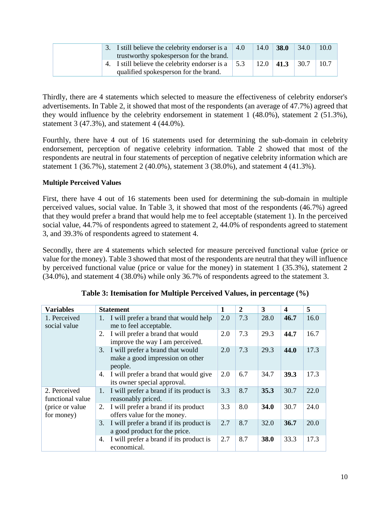|  | 3. I still believe the celebrity endorser is a $\vert 4.0 \vert$                                             | 14.0        | <b>38.0</b> | 34.0  | 10.0 |
|--|--------------------------------------------------------------------------------------------------------------|-------------|-------------|-------|------|
|  | trustworthy spokes person for the brand.<br>4. I still believe the celebrity endorser is a $\vert 5.3 \vert$ | $12.0$ 41.3 |             | 130.7 | 10.7 |
|  | qualified spokes person for the brand.                                                                       |             |             |       |      |

Thirdly, there are 4 statements which selected to measure the effectiveness of celebrity endorser's advertisements. In Table 2, it showed that most of the respondents (an average of 47.7%) agreed that they would influence by the celebrity endorsement in statement 1 (48.0%), statement 2 (51.3%), statement 3 (47.3%), and statement 4 (44.0%).

Fourthly, there have 4 out of 16 statements used for determining the sub-domain in celebrity endorsement, perception of negative celebrity information. Table 2 showed that most of the respondents are neutral in four statements of perception of negative celebrity information which are statement 1 (36.7%), statement 2 (40.0%), statement 3 (38.0%), and statement 4 (41.3%).

## **Multiple Perceived Values**

First, there have 4 out of 16 statements been used for determining the sub-domain in multiple perceived values, social value. In Table 3, it showed that most of the respondents (46.7%) agreed that they would prefer a brand that would help me to feel acceptable (statement 1). In the perceived social value, 44.7% of respondents agreed to statement 2, 44.0% of respondents agreed to statement 3, and 39.3% of respondents agreed to statement 4.

Secondly, there are 4 statements which selected for measure perceived functional value (price or value for the money). Table 3 showed that most of the respondents are neutral that they will influence by perceived functional value (price or value for the money) in statement 1 (35.3%), statement 2 (34.0%), and statement 4 (38.0%) while only 36.7% of respondents agreed to the statement 3.

| <b>Variables</b>                 | <b>Statement</b>                                                                     | 1   | $\overline{2}$ | 3           | 4           | 5    |
|----------------------------------|--------------------------------------------------------------------------------------|-----|----------------|-------------|-------------|------|
| 1. Perceived<br>social value     | I will prefer a brand that would help<br>1.<br>me to feel acceptable.                | 2.0 | 7.3            | 28.0        | 46.7        | 16.0 |
|                                  | I will prefer a brand that would<br>2.<br>improve the way I am perceived.            | 2.0 | 7.3            | 29.3        | 44.7        | 16.7 |
|                                  | I will prefer a brand that would<br>3.<br>make a good impression on other<br>people. | 2.0 | 7.3            | 29.3        | 44.0        | 17.3 |
|                                  | I will prefer a brand that would give<br>4.<br>its owner special approval.           | 2.0 | 6.7            | 34.7        | <b>39.3</b> | 17.3 |
| 2. Perceived<br>functional value | I will prefer a brand if its product is<br>1.<br>reasonably priced.                  | 3.3 | 8.7            | 35.3        | 30.7        | 22.0 |
| (price or value)<br>for money)   | I will prefer a brand if its product<br>2.<br>offers value for the money.            | 3.3 | 8.0            | <b>34.0</b> | 30.7        | 24.0 |
|                                  | I will prefer a brand if its product is<br>3.<br>a good product for the price.       | 2.7 | 8.7            | 32.0        | 36.7        | 20.0 |
|                                  | I will prefer a brand if its product is<br>4.<br>economical.                         | 2.7 | 8.7            | 38.0        | 33.3        | 17.3 |

|  |  | Table 3: Itemisation for Multiple Perceived Values, in percentage (%) |  |
|--|--|-----------------------------------------------------------------------|--|
|  |  |                                                                       |  |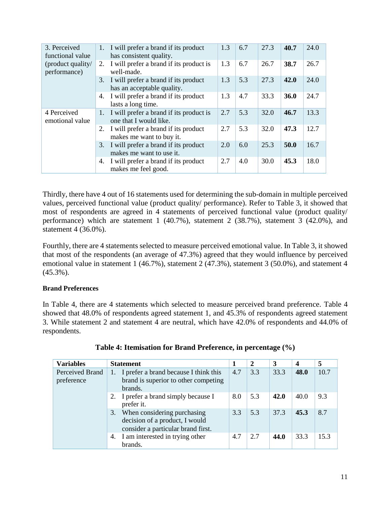| 3. Perceived                      |    | 1. I will prefer a brand if its product                            | 1.3 | 6.7 | 27.3 | 40.7 | 24.0 |
|-----------------------------------|----|--------------------------------------------------------------------|-----|-----|------|------|------|
| functional value                  |    | has consistent quality.                                            |     |     |      |      |      |
| (product quality/<br>performance) | 2. | I will prefer a brand if its product is<br>well-made.              | 1.3 | 6.7 | 26.7 | 38.7 | 26.7 |
|                                   | 3. | I will prefer a brand if its product<br>has an acceptable quality. | 1.3 | 5.3 | 27.3 | 42.0 | 24.0 |
|                                   | 4. | I will prefer a brand if its product<br>lasts a long time.         | 1.3 | 4.7 | 33.3 | 36.0 | 24.7 |
| 4 Perceived<br>emotional value    | 1. | I will prefer a brand if its product is<br>one that I would like.  | 2.7 | 5.3 | 32.0 | 46.7 | 13.3 |
|                                   | 2. | I will prefer a brand if its product<br>makes me want to buy it.   | 2.7 | 5.3 | 32.0 | 47.3 | 12.7 |
|                                   | 3. | I will prefer a brand if its product<br>makes me want to use it.   | 2.0 | 6.0 | 25.3 | 50.0 | 16.7 |
|                                   | 4. | I will prefer a brand if its product<br>makes me feel good.        | 2.7 | 4.0 | 30.0 | 45.3 | 18.0 |

Thirdly, there have 4 out of 16 statements used for determining the sub-domain in multiple perceived values, perceived functional value (product quality/ performance). Refer to Table 3, it showed that most of respondents are agreed in 4 statements of perceived functional value (product quality/ performance) which are statement 1 (40.7%), statement 2 (38.7%), statement 3 (42.0%), and statement 4 (36.0%).

Fourthly, there are 4 statements selected to measure perceived emotional value. In Table 3, it showed that most of the respondents (an average of 47.3%) agreed that they would influence by perceived emotional value in statement 1 (46.7%), statement 2 (47.3%), statement 3 (50.0%), and statement 4 (45.3%).

#### **Brand Preferences**

In Table 4, there are 4 statements which selected to measure perceived brand preference. Table 4 showed that 48.0% of respondents agreed statement 1, and 45.3% of respondents agreed statement 3. While statement 2 and statement 4 are neutral, which have 42.0% of respondents and 44.0% of respondents.

| <b>Variables</b>              | <b>Statement</b>                                                                                       |     | 2   | 3    | $\overline{\mathbf{4}}$ | 5    |
|-------------------------------|--------------------------------------------------------------------------------------------------------|-----|-----|------|-------------------------|------|
| Perceived Brand<br>preference | 1. I prefer a brand because I think this<br>brand is superior to other competing<br>brands.            | 4.7 | 3.3 | 33.3 | 48.0                    | 10.7 |
|                               | 2. I prefer a brand simply because I<br>prefer it.                                                     | 8.0 | 5.3 | 42.0 | 40.0                    | 9.3  |
|                               | 3. When considering purchasing<br>decision of a product, I would<br>consider a particular brand first. | 3.3 | 5.3 | 37.3 | 45.3                    | 8.7  |
|                               | 4. I am interested in trying other<br>brands.                                                          | 4.7 | 2.7 | 44.0 | 33.3                    | 15.3 |

|  |  |  | Table 4: Itemisation for Brand Preference, in percentage (%) |  |
|--|--|--|--------------------------------------------------------------|--|
|  |  |  |                                                              |  |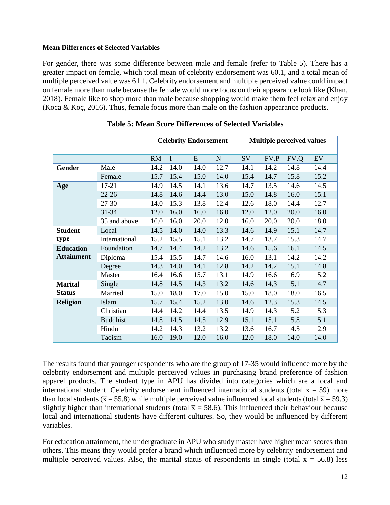#### **Mean Differences of Selected Variables**

For gender, there was some difference between male and female (refer to Table 5). There has a greater impact on female, which total mean of celebrity endorsement was 60.1, and a total mean of multiple perceived value was 61.1. Celebrity endorsement and multiple perceived value could impact on female more than male because the female would more focus on their appearance look like (Khan, 2018). Female like to shop more than male because shopping would make them feel relax and enjoy (Koca & Koç, 2016). Thus, female focus more than male on the fashion appearance products.

|                   |                 |           |             | <b>Celebrity Endorsement</b> |             |      |      | <b>Multiple perceived values</b> |      |
|-------------------|-----------------|-----------|-------------|------------------------------|-------------|------|------|----------------------------------|------|
|                   |                 |           |             |                              |             |      |      |                                  |      |
|                   |                 | <b>RM</b> | $\mathbf I$ | E                            | $\mathbf N$ | SV   | FV.P | FV.Q                             | EV   |
| Gender            | Male            | 14.2      | 14.0        | 14.0                         | 12.7        | 14.1 | 14.2 | 14.8                             | 14.4 |
|                   | Female          | 15.7      | 15.4        | 15.0                         | 14.0        | 15.4 | 14.7 | 15.8                             | 15.2 |
| Age               | $17 - 21$       | 14.9      | 14.5        | 14.1                         | 13.6        | 14.7 | 13.5 | 14.6                             | 14.5 |
|                   | $22 - 26$       | 14.8      | 14.6        | 14.4                         | 13.0        | 15.0 | 14.8 | 16.0                             | 15.1 |
|                   | 27-30           | 14.0      | 15.3        | 13.8                         | 12.4        | 12.6 | 18.0 | 14.4                             | 12.7 |
|                   | 31-34           | 12.0      | 16.0        | 16.0                         | 16.0        | 12.0 | 12.0 | 20.0                             | 16.0 |
|                   | 35 and above    | 16.0      | 16.0        | 20.0                         | 12.0        | 16.0 | 20.0 | 20.0                             | 18.0 |
| <b>Student</b>    | Local           | 14.5      | 14.0        | 14.0                         | 13.3        | 14.6 | 14.9 | 15.1                             | 14.7 |
| type              | International   | 15.2      | 15.5        | 15.1                         | 13.2        | 14.7 | 13.7 | 15.3                             | 14.7 |
| <b>Education</b>  | Foundation      | 14.7      | 14.4        | 14.2                         | 13.2        | 14.6 | 15.6 | 16.1                             | 14.5 |
| <b>Attainment</b> | Diploma         | 15.4      | 15.5        | 14.7                         | 14.6        | 16.0 | 13.1 | 14.2                             | 14.2 |
|                   | Degree          | 14.3      | 14.0        | 14.1                         | 12.8        | 14.2 | 14.2 | 15.1                             | 14.8 |
|                   | Master          | 16.4      | 16.6        | 15.7                         | 13.1        | 14.9 | 16.6 | 16.9                             | 15.2 |
| <b>Marital</b>    | Single          | 14.8      | 14.5        | 14.3                         | 13.2        | 14.6 | 14.3 | 15.1                             | 14.7 |
| <b>Status</b>     | Married         | 15.0      | 18.0        | 17.0                         | 15.0        | 15.0 | 18.0 | 18.0                             | 16.5 |
| <b>Religion</b>   | Islam           | 15.7      | 15.4        | 15.2                         | 13.0        | 14.6 | 12.3 | 15.3                             | 14.5 |
|                   | Christian       | 14.4      | 14.2        | 14.4                         | 13.5        | 14.9 | 14.3 | 15.2                             | 15.3 |
|                   | <b>Buddhist</b> | 14.8      | 14.5        | 14.5                         | 12.9        | 15.1 | 15.1 | 15.8                             | 15.1 |
|                   | Hindu           | 14.2      | 14.3        | 13.2                         | 13.2        | 13.6 | 16.7 | 14.5                             | 12.9 |
|                   | Taoism          | 16.0      | 19.0        | 12.0                         | 16.0        | 12.0 | 18.0 | 14.0                             | 14.0 |

**Table 5: Mean Score Differences of Selected Variables**

The results found that younger respondents who are the group of 17-35 would influence more by the celebrity endorsement and multiple perceived values in purchasing brand preference of fashion apparel products. The student type in APU has divided into categories which are a local and international student. Celebrity endorsement influenced international students (total  $\bar{x}$  = 59) more than local students ( $\bar{x}$  = 55.8) while multiple perceived value influenced local students (total  $\bar{x}$  = 59.3) slightly higher than international students (total  $\bar{x}$  = 58.6). This influenced their behaviour because local and international students have different cultures. So, they would be influenced by different variables.

For education attainment, the undergraduate in APU who study master have higher mean scores than others. This means they would prefer a brand which influenced more by celebrity endorsement and multiple perceived values. Also, the marital status of respondents in single (total  $\bar{x} = 56.8$ ) less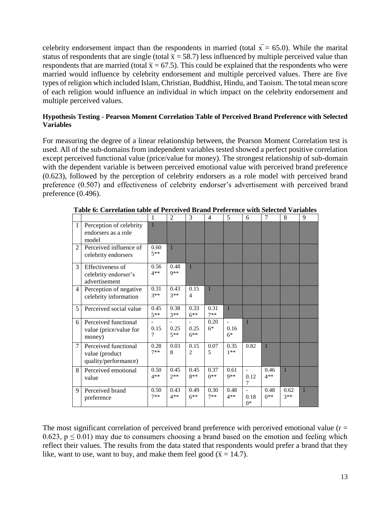celebrity endorsement impact than the respondents in married (total  $\bar{x}$  = 65.0). While the marital status of respondents that are single (total  $\bar{x}$  = 58.7) less influenced by multiple perceived value than respondents that are married (total  $\bar{x} = 67.5$ ). This could be explained that the respondents who were married would influence by celebrity endorsement and multiple perceived values. There are five types of religion which included Islam, Christian, Buddhist, Hindu, and Taoism. The total mean score of each religion would influence an individual in which impact on the celebrity endorsement and multiple perceived values.

#### **Hypothesis Testing - Pearson Moment Correlation Table of Perceived Brand Preference with Selected Variables**

For measuring the degree of a linear relationship between, the Pearson Moment Correlation test is used. All of the sub-domains from independent variables tested showed a perfect positive correlation except perceived functional value (price/value for money). The strongest relationship of sub-domain with the dependent variable is between perceived emotional value with perceived brand preference (0.623), followed by the perception of celebrity endorsers as a role model with perceived brand preference (0.507) and effectiveness of celebrity endorser's advertisement with perceived brand preference (0.496).

|                |                                                                | 1             | $\overline{2}$                            | 3                                          | 4             | 5              | 6                           | 7             | 8             | 9            |
|----------------|----------------------------------------------------------------|---------------|-------------------------------------------|--------------------------------------------|---------------|----------------|-----------------------------|---------------|---------------|--------------|
| $\mathbf{1}$   | Perception of celebrity<br>endorsers as a role<br>model        | $\mathbf{1}$  |                                           |                                            |               |                |                             |               |               |              |
| 2              | Perceived influence of<br>celebrity endorsers                  | 0.60<br>$5**$ | 1                                         |                                            |               |                |                             |               |               |              |
| 3              | Effectiveness of<br>celebrity endorser's<br>advertisement      | 0.56<br>$4**$ | 0.48<br>$Q$ **                            | $\mathbf{1}$                               |               |                |                             |               |               |              |
| $\overline{4}$ | Perception of negative<br>celebrity information                | 0.31<br>$3**$ | 0.43<br>$3**$                             | 0.15<br>$\overline{4}$                     | $\mathbf{1}$  |                |                             |               |               |              |
| 5              | Perceived social value                                         | 0.45<br>$5**$ | 0.38<br>$3**$                             | 0.33<br>$6***$                             | 0.31<br>$7**$ | $\overline{1}$ |                             |               |               |              |
| 6              | Perceived functional<br>value (price/value for<br>money)       | 0.15<br>7     | $\overline{\phantom{a}}$<br>0.25<br>$5**$ | $\overline{\phantom{a}}$<br>0.25<br>$6***$ | 0.20<br>$6*$  | 0.16<br>$6*$   | 1                           |               |               |              |
| 7              | Perceived functional<br>value (product<br>quality/performance) | 0.28<br>$7**$ | 0.03<br>8                                 | 0.15<br>$\overline{c}$                     | 0.07<br>5     | 0.35<br>$1**$  | 0.82                        | 1             |               |              |
| 8              | Perceived emotional<br>value                                   | 0.50<br>$4**$ | 0.45<br>$2**$                             | 0.45<br>$8**$                              | 0.37<br>$0**$ | 0.61<br>$9**$  | $\overline{a}$<br>0.12<br>7 | 0.46<br>$4**$ | $\mathbf{1}$  |              |
| 9              | Perceived brand<br>preference                                  | 0.50<br>$7**$ | 0.43<br>$4**$                             | 0.49<br>$6***$                             | 0.30<br>$7**$ | 0.48<br>$4**$  | 0.18<br>$0*$                | 0.48<br>$0**$ | 0.62<br>$3**$ | $\mathbf{1}$ |

|  |  |  |  |  |  |  | Table 6: Correlation table of Perceived Brand Preference with Selected Variables |  |  |  |
|--|--|--|--|--|--|--|----------------------------------------------------------------------------------|--|--|--|
|--|--|--|--|--|--|--|----------------------------------------------------------------------------------|--|--|--|

The most significant correlation of perceived brand preference with perceived emotional value ( $r =$ 0.623,  $p \le 0.01$ ) may due to consumers choosing a brand based on the emotion and feeling which reflect their values. The results from the data stated that respondents would prefer a brand that they like, want to use, want to buy, and make them feel good ( $\bar{x} = 14.7$ ).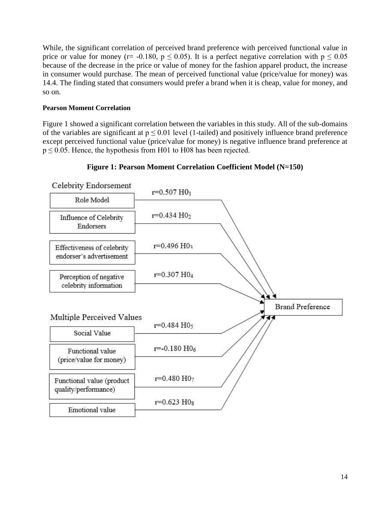While, the significant correlation of perceived brand preference with perceived functional value in price or value for money (r= -0.180,  $p \le 0.05$ ). It is a perfect negative correlation with  $p \le 0.05$ because of the decrease in the price or value of money for the fashion apparel product, the increase in consumer would purchase. The mean of perceived functional value (price/value for money) was 14.4. The finding stated that consumers would prefer a brand when it is cheap, value for money, and so on.

#### **Pearson Moment Correlation**

Figure 1 showed a significant correlation between the variables in this study. All of the sub-domains of the variables are significant at  $p \le 0.01$  level (1-tailed) and positively influence brand preference except perceived functional value (price/value for money) is negative influence brand preference at  $p \le 0.05$ . Hence, the hypothesis from H01 to H08 has been rejected.



#### **Figure 1: Pearson Moment Correlation Coefficient Model (N=150)**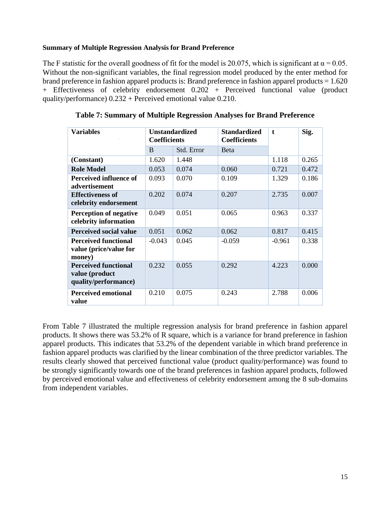#### **Summary of Multiple Regression Analysis for Brand Preference**

The F statistic for the overall goodness of fit for the model is 20.075, which is significant at  $\alpha = 0.05$ . Without the non-significant variables, the final regression model produced by the enter method for brand preference in fashion apparel products is: Brand preference in fashion apparel products = 1.620 + Effectiveness of celebrity endorsement 0.202 + Perceived functional value (product quality/performance) 0.232 + Perceived emotional value 0.210.

| <b>Variables</b>                                                      | <b>Coefficients</b> | <b>Unstandardized</b> | <b>Standardized</b><br><b>Coefficients</b> | $\mathbf t$ | Sig.  |
|-----------------------------------------------------------------------|---------------------|-----------------------|--------------------------------------------|-------------|-------|
|                                                                       | B                   | Std. Error            | <b>B</b> eta                               |             |       |
| (Constant)                                                            | 1.620               | 1.448                 |                                            | 1.118       | 0.265 |
| <b>Role Model</b>                                                     | 0.053               | 0.074                 | 0.060                                      | 0.721       | 0.472 |
| Perceived influence of<br>advertisement                               | 0.093               | 0.070                 | 0.109                                      | 1.329       | 0.186 |
| <b>Effectiveness of</b><br>celebrity endorsement                      | 0.202               | 0.074                 | 0.207                                      | 2.735       | 0.007 |
| <b>Perception of negative</b><br>celebrity information                | 0.049               | 0.051                 | 0.065                                      | 0.963       | 0.337 |
| <b>Perceived social value</b>                                         | 0.051               | 0.062                 | 0.062                                      | 0.817       | 0.415 |
| <b>Perceived functional</b><br>value (price/value for<br>money)       | $-0.043$            | 0.045                 | $-0.059$                                   | $-0.961$    | 0.338 |
| <b>Perceived functional</b><br>value (product<br>quality/performance) | 0.232               | 0.055                 | 0.292                                      | 4.223       | 0.000 |
| <b>Perceived emotional</b><br>value                                   | 0.210               | 0.075                 | 0.243                                      | 2.788       | 0.006 |

**Table 7: Summary of Multiple Regression Analyses for Brand Preference**

From Table 7 illustrated the multiple regression analysis for brand preference in fashion apparel products. It shows there was 53.2% of R square, which is a variance for brand preference in fashion apparel products. This indicates that 53.2% of the dependent variable in which brand preference in fashion apparel products was clarified by the linear combination of the three predictor variables. The results clearly showed that perceived functional value (product quality/performance) was found to be strongly significantly towards one of the brand preferences in fashion apparel products, followed by perceived emotional value and effectiveness of celebrity endorsement among the 8 sub-domains from independent variables.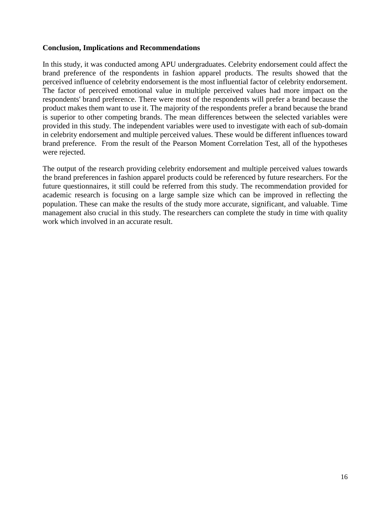#### **Conclusion, Implications and Recommendations**

In this study, it was conducted among APU undergraduates. Celebrity endorsement could affect the brand preference of the respondents in fashion apparel products. The results showed that the perceived influence of celebrity endorsement is the most influential factor of celebrity endorsement. The factor of perceived emotional value in multiple perceived values had more impact on the respondents' brand preference. There were most of the respondents will prefer a brand because the product makes them want to use it. The majority of the respondents prefer a brand because the brand is superior to other competing brands. The mean differences between the selected variables were provided in this study. The independent variables were used to investigate with each of sub-domain in celebrity endorsement and multiple perceived values. These would be different influences toward brand preference. From the result of the Pearson Moment Correlation Test, all of the hypotheses were rejected.

The output of the research providing celebrity endorsement and multiple perceived values towards the brand preferences in fashion apparel products could be referenced by future researchers. For the future questionnaires, it still could be referred from this study. The recommendation provided for academic research is focusing on a large sample size which can be improved in reflecting the population. These can make the results of the study more accurate, significant, and valuable. Time management also crucial in this study. The researchers can complete the study in time with quality work which involved in an accurate result.